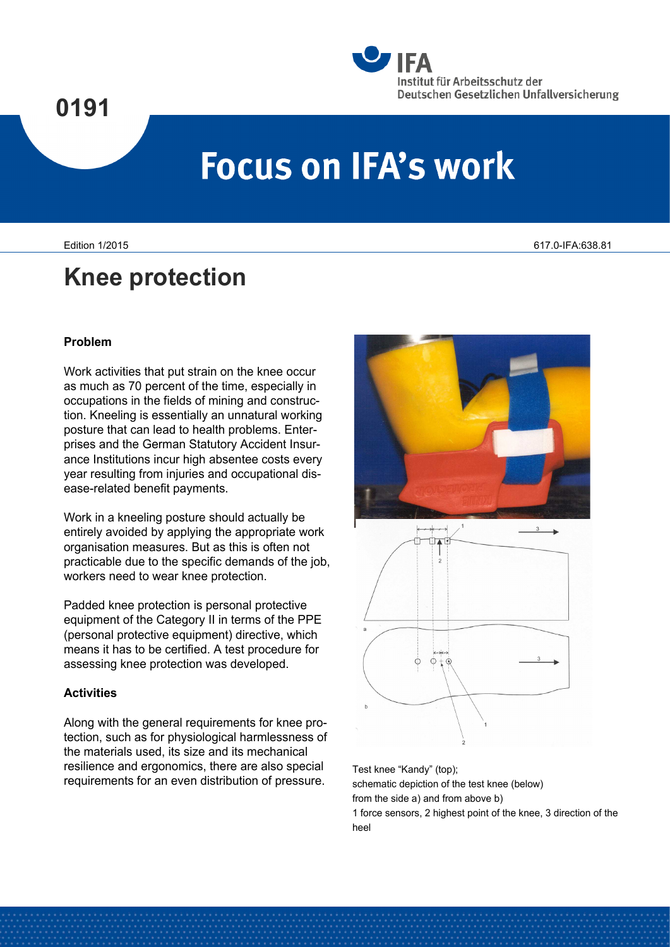## **0191**



# **Focus on IFA's work**

### **Knee protection**

#### **Problem**

Work activities that put strain on the knee occur as much as 70 percent of the time, especially in occupations in the fields of mining and construction. Kneeling is essentially an unnatural working posture that can lead to health problems. Enterprises and the German Statutory Accident Insurance Institutions incur high absentee costs every year resulting from injuries and occupational disease-related benefit payments.

Work in a kneeling posture should actually be entirely avoided by applying the appropriate work organisation measures. But as this is often not practicable due to the specific demands of the job, workers need to wear knee protection.

Padded knee protection is personal protective equipment of the Category II in terms of the PPE (personal protective equipment) directive, which means it has to be certified. A test procedure for assessing knee protection was developed.

#### **Activities**

Along with the general requirements for knee protection, such as for physiological harmlessness of the materials used, its size and its mechanical resilience and ergonomics, there are also special requirements for an even distribution of pressure.

 $O + G$ 

Test knee "Kandy" (top); schematic depiction of the test knee (below) from the side a) and from above b)

1 force sensors, 2 highest point of the knee, 3 direction of the heel

Edition 1/2015 617.0-IFA:638.81